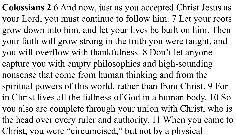**Colossians 2** 6 And now, just as you accepted Christ Jesus as your Lord, you must continue to follow him. 7 Let your roots grow down into him, and let your lives be built on him. Then your faith will grow strong in the truth you were taught, and you will overflow with thankfulness. 8 Don't let anyone capture you with empty philosophies and high-sounding nonsense that come from human thinking and from the spiritual powers of this world, rather than from Christ. 9 For in Christ lives all the fullness of God in a human body. 10 So you also are complete through your union with Christ, who is the head over every ruler and authority. 11 When you came to Christ, you were "circumcised," but not by a physical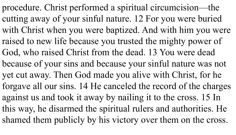procedure. Christ performed a spiritual circumcision—the cutting away of your sinful nature. 12 For you were buried with Christ when you were baptized. And with him you were raised to new life because you trusted the mighty power of God, who raised Christ from the dead. 13 You were dead because of your sins and because your sinful nature was not yet cut away. Then God made you alive with Christ, for he forgave all our sins. 14 He canceled the record of the charges against us and took it away by nailing it to the cross. 15 In this way, he disarmed the spiritual rulers and authorities. He shamed them publicly by his victory over them on the cross.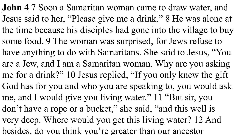**John 4** 7 Soon a Samaritan woman came to draw water, and Jesus said to her, "Please give me a drink." 8 He was alone at the time because his disciples had gone into the village to buy some food. 9 The woman was surprised, for Jews refuse to have anything to do with Samaritans. She said to Jesus, "You are a Jew, and I am a Samaritan woman. Why are you asking me for a drink?" 10 Jesus replied, "If you only knew the gift God has for you and who you are speaking to, you would ask me, and I would give you living water." 11 "But sir, you don't have a rope or a bucket," she said, "and this well is very deep. Where would you get this living water? 12 And besides, do you think you're greater than our ancestor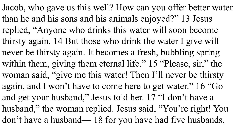Jacob, who gave us this well? How can you offer better water than he and his sons and his animals enjoyed?" 13 Jesus replied, "Anyone who drinks this water will soon become thirsty again. 14 But those who drink the water I give will never be thirsty again. It becomes a fresh, bubbling spring within them, giving them eternal life." 15 "Please, sir," the woman said, "give me this water! Then I'll never be thirsty again, and I won't have to come here to get water." 16 "Go and get your husband," Jesus told her. 17 "I don't have a husband," the woman replied. Jesus said, "You're right! You don't have a husband— 18 for you have had five husbands,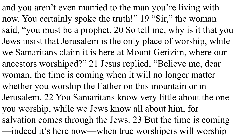and you aren't even married to the man you're living with now. You certainly spoke the truth!" 19 "Sir," the woman said, "you must be a prophet. 20 So tell me, why is it that you Jews insist that Jerusalem is the only place of worship, while we Samaritans claim it is here at Mount Gerizim, where our ancestors worshiped?" 21 Jesus replied, "Believe me, dear woman, the time is coming when it will no longer matter whether you worship the Father on this mountain or in Jerusalem. 22 You Samaritans know very little about the one you worship, while we Jews know all about him, for salvation comes through the Jews. 23 But the time is coming —indeed it's here now—when true worshipers will worship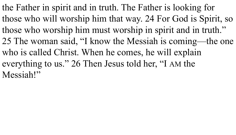the Father in spirit and in truth. The Father is looking for those who will worship him that way. 24 For God is Spirit, so those who worship him must worship in spirit and in truth." 25 The woman said, "I know the Messiah is coming—the one who is called Christ. When he comes, he will explain everything to us." 26 Then Jesus told her, "I AM the Messiah!"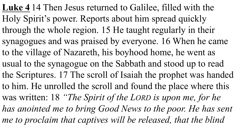**Luke 4** 14 Then Jesus returned to Galilee, filled with the Holy Spirit's power. Reports about him spread quickly through the whole region. 15 He taught regularly in their synagogues and was praised by everyone. 16 When he came to the village of Nazareth, his boyhood home, he went as usual to the synagogue on the Sabbath and stood up to read the Scriptures. 17 The scroll of Isaiah the prophet was handed to him. He unrolled the scroll and found the place where this was written: 18 *"The Spirit of the LORD is upon me, for he*  has anointed me to bring Good News to the poor. He has sent me to proclaim that captives will be released, that the blind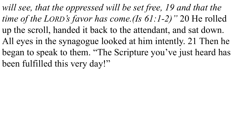will see, that the oppressed will be set free, 19 and that the *time of the LORD's favor has come.(Is 61:1-2)"* 20 He rolled up the scroll, handed it back to the attendant, and sat down. All eyes in the synagogue looked at him intently. 21 Then he began to speak to them. "The Scripture you've just heard has been fulfilled this very day!"